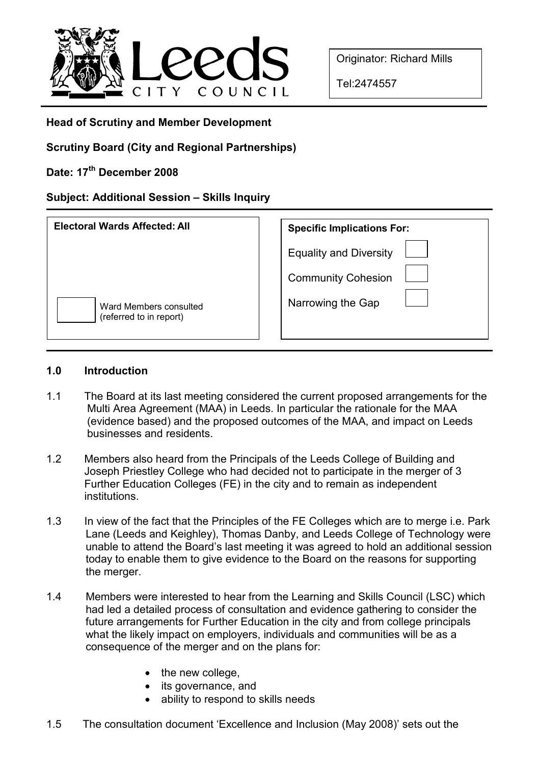

Originator: Richard Mills

Tel:2474557

## Head of Scrutiny and Member Development

Scrutiny Board (City and Regional Partnerships)

Date: 17<sup>th</sup> December 2008

# Subject: Additional Session – Skills Inquiry

| <b>Electoral Wards Affected: All</b>              | <b>Specific Implications For:</b> |
|---------------------------------------------------|-----------------------------------|
|                                                   | <b>Equality and Diversity</b>     |
|                                                   | <b>Community Cohesion</b>         |
| Ward Members consulted<br>(referred to in report) | Narrowing the Gap                 |

### 1.0 Introduction

- 1.1 The Board at its last meeting considered the current proposed arrangements for the Multi Area Agreement (MAA) in Leeds. In particular the rationale for the MAA (evidence based) and the proposed outcomes of the MAA, and impact on Leeds businesses and residents.
- 1.2 Members also heard from the Principals of the Leeds College of Building and Joseph Priestley College who had decided not to participate in the merger of 3 Further Education Colleges (FE) in the city and to remain as independent institutions.
- 1.3 In view of the fact that the Principles of the FE Colleges which are to merge i.e. Park Lane (Leeds and Keighley), Thomas Danby, and Leeds College of Technology were unable to attend the Board's last meeting it was agreed to hold an additional session today to enable them to give evidence to the Board on the reasons for supporting the merger.
- 1.4 Members were interested to hear from the Learning and Skills Council (LSC) which had led a detailed process of consultation and evidence gathering to consider the future arrangements for Further Education in the city and from college principals what the likely impact on employers, individuals and communities will be as a consequence of the merger and on the plans for:
	- the new college,
	- its governance, and
	- ability to respond to skills needs
- 1.5 The consultation document 'Excellence and Inclusion (May 2008)' sets out the